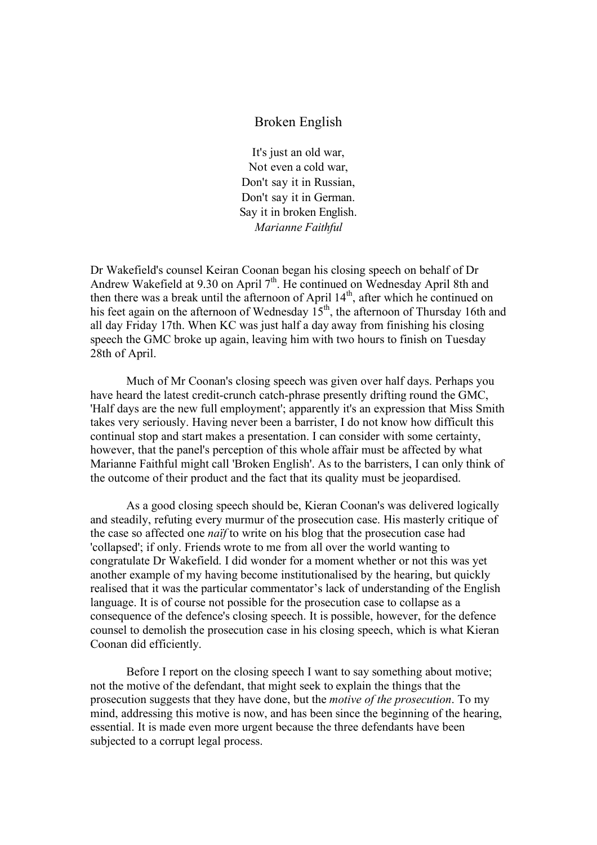## Broken English

It's just an old war, Not even a cold war, Don't say it in Russian, Don't say it in German. Say it in broken English. *Marianne Faithful*

Dr Wakefield's counsel Keiran Coonan began his closing speech on behalf of Dr Andrew Wakefield at 9.30 on April  $7<sup>th</sup>$ . He continued on Wednesday April 8th and then there was a break until the afternoon of April  $14<sup>th</sup>$ , after which he continued on his feet again on the afternoon of Wednesday  $15<sup>th</sup>$ , the afternoon of Thursday 16th and all day Friday 17th. When KC was just half a day away from finishing his closing speech the GMC broke up again, leaving him with two hours to finish on Tuesday 28th of April.

Much of Mr Coonan's closing speech was given over half days. Perhaps you have heard the latest credit-crunch catch-phrase presently drifting round the GMC, 'Half days are the new full employment'; apparently it's an expression that Miss Smith takes very seriously. Having never been a barrister, I do not know how difficult this continual stop and start makes a presentation. I can consider with some certainty, however, that the panel's perception of this whole affair must be affected by what Marianne Faithful might call 'Broken English'. As to the barristers, I can only think of the outcome of their product and the fact that its quality must be jeopardised.

As a good closing speech should be, Kieran Coonan's was delivered logically and steadily, refuting every murmur of the prosecution case. His masterly critique of the case so affected one *naïf* to write on his blog that the prosecution case had 'collapsed'; if only. Friends wrote to me from all over the world wanting to congratulate Dr Wakefield. I did wonder for a moment whether or not this was yet another example of my having become institutionalised by the hearing, but quickly realised that it was the particular commentator's lack of understanding of the English language. It is of course not possible for the prosecution case to collapse as a consequence of the defence's closing speech. It is possible, however, for the defence counsel to demolish the prosecution case in his closing speech, which is what Kieran Coonan did efficiently.

Before I report on the closing speech I want to say something about motive; not the motive of the defendant, that might seek to explain the things that the prosecution suggests that they have done, but the *motive of the prosecution*. To my mind, addressing this motive is now, and has been since the beginning of the hearing, essential. It is made even more urgent because the three defendants have been subjected to a corrupt legal process.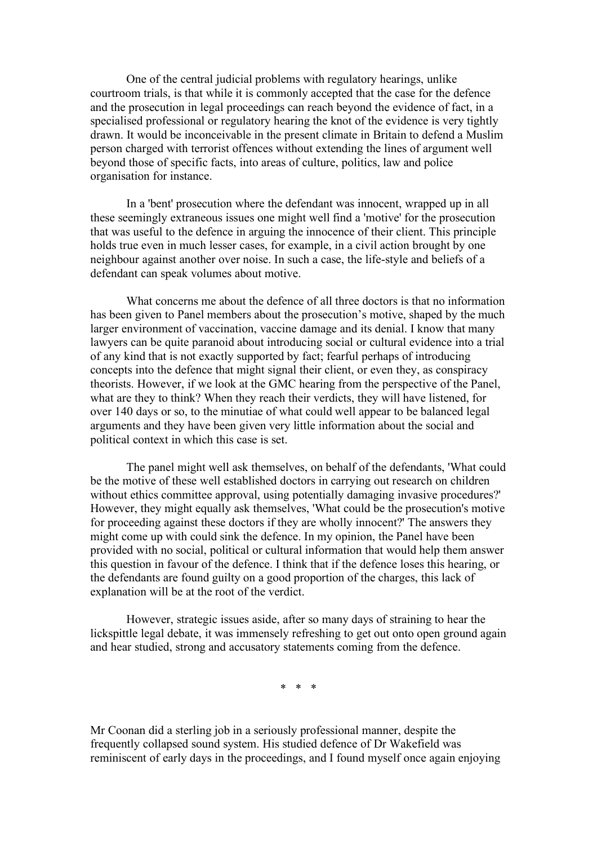One of the central judicial problems with regulatory hearings, unlike courtroom trials, is that while it is commonly accepted that the case for the defence and the prosecution in legal proceedings can reach beyond the evidence of fact, in a specialised professional or regulatory hearing the knot of the evidence is very tightly drawn. It would be inconceivable in the present climate in Britain to defend a Muslim person charged with terrorist offences without extending the lines of argument well beyond those of specific facts, into areas of culture, politics, law and police organisation for instance.

In a 'bent' prosecution where the defendant was innocent, wrapped up in all these seemingly extraneous issues one might well find a 'motive' for the prosecution that was useful to the defence in arguing the innocence of their client. This principle holds true even in much lesser cases, for example, in a civil action brought by one neighbour against another over noise. In such a case, the life-style and beliefs of a defendant can speak volumes about motive.

What concerns me about the defence of all three doctors is that no information has been given to Panel members about the prosecution's motive, shaped by the much larger environment of vaccination, vaccine damage and its denial. I know that many lawyers can be quite paranoid about introducing social or cultural evidence into a trial of any kind that is not exactly supported by fact; fearful perhaps of introducing concepts into the defence that might signal their client, or even they, as conspiracy theorists. However, if we look at the GMC hearing from the perspective of the Panel, what are they to think? When they reach their verdicts, they will have listened, for over 140 days or so, to the minutiae of what could well appear to be balanced legal arguments and they have been given very little information about the social and political context in which this case is set.

The panel might well ask themselves, on behalf of the defendants, 'What could be the motive of these well established doctors in carrying out research on children without ethics committee approval, using potentially damaging invasive procedures?' However, they might equally ask themselves, 'What could be the prosecution's motive for proceeding against these doctors if they are wholly innocent?' The answers they might come up with could sink the defence. In my opinion, the Panel have been provided with no social, political or cultural information that would help them answer this question in favour of the defence. I think that if the defence loses this hearing, or the defendants are found guilty on a good proportion of the charges, this lack of explanation will be at the root of the verdict.

However, strategic issues aside, after so many days of straining to hear the lickspittle legal debate, it was immensely refreshing to get out onto open ground again and hear studied, strong and accusatory statements coming from the defence.

\* \* \*

Mr Coonan did a sterling job in a seriously professional manner, despite the frequently collapsed sound system. His studied defence of Dr Wakefield was reminiscent of early days in the proceedings, and I found myself once again enjoying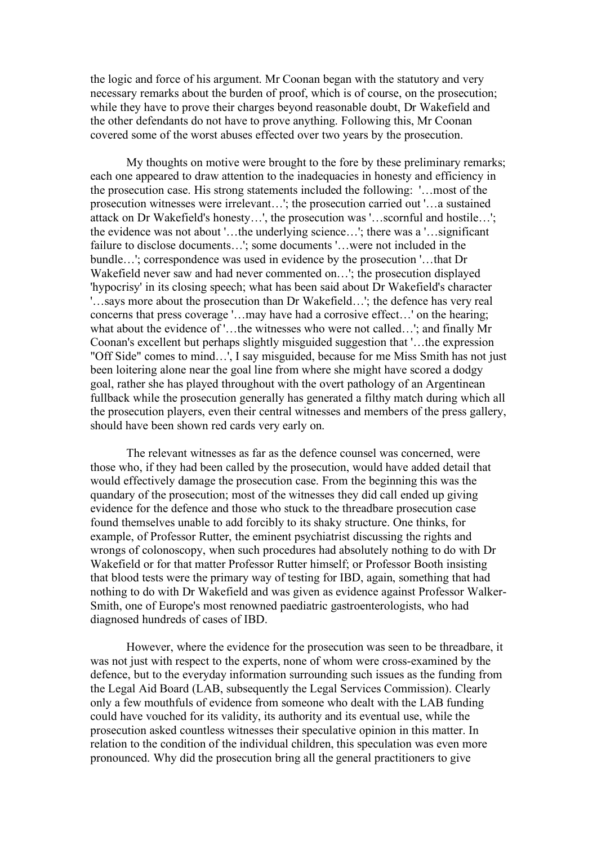the logic and force of his argument. Mr Coonan began with the statutory and very necessary remarks about the burden of proof, which is of course, on the prosecution; while they have to prove their charges beyond reasonable doubt, Dr Wakefield and the other defendants do not have to prove anything. Following this, Mr Coonan covered some of the worst abuses effected over two years by the prosecution.

My thoughts on motive were brought to the fore by these preliminary remarks; each one appeared to draw attention to the inadequacies in honesty and efficiency in the prosecution case. His strong statements included the following: '…most of the prosecution witnesses were irrelevant…'; the prosecution carried out '…a sustained attack on Dr Wakefield's honesty…', the prosecution was '…scornful and hostile…'; the evidence was not about '…the underlying science…'; there was a '…significant failure to disclose documents…'; some documents '…were not included in the bundle…'; correspondence was used in evidence by the prosecution '…that Dr Wakefield never saw and had never commented on…'; the prosecution displayed 'hypocrisy' in its closing speech; what has been said about Dr Wakefield's character '…says more about the prosecution than Dr Wakefield…'; the defence has very real concerns that press coverage '…may have had a corrosive effect…' on the hearing; what about the evidence of '...the witnesses who were not called...'; and finally Mr Coonan's excellent but perhaps slightly misguided suggestion that '…the expression "Off Side" comes to mind…', I say misguided, because for me Miss Smith has not just been loitering alone near the goal line from where she might have scored a dodgy goal, rather she has played throughout with the overt pathology of an Argentinean fullback while the prosecution generally has generated a filthy match during which all the prosecution players, even their central witnesses and members of the press gallery, should have been shown red cards very early on.

The relevant witnesses as far as the defence counsel was concerned, were those who, if they had been called by the prosecution, would have added detail that would effectively damage the prosecution case. From the beginning this was the quandary of the prosecution; most of the witnesses they did call ended up giving evidence for the defence and those who stuck to the threadbare prosecution case found themselves unable to add forcibly to its shaky structure. One thinks, for example, of Professor Rutter, the eminent psychiatrist discussing the rights and wrongs of colonoscopy, when such procedures had absolutely nothing to do with Dr Wakefield or for that matter Professor Rutter himself; or Professor Booth insisting that blood tests were the primary way of testing for IBD, again, something that had nothing to do with Dr Wakefield and was given as evidence against Professor Walker-Smith, one of Europe's most renowned paediatric gastroenterologists, who had diagnosed hundreds of cases of IBD.

However, where the evidence for the prosecution was seen to be threadbare, it was not just with respect to the experts, none of whom were cross-examined by the defence, but to the everyday information surrounding such issues as the funding from the Legal Aid Board (LAB, subsequently the Legal Services Commission). Clearly only a few mouthfuls of evidence from someone who dealt with the LAB funding could have vouched for its validity, its authority and its eventual use, while the prosecution asked countless witnesses their speculative opinion in this matter. In relation to the condition of the individual children, this speculation was even more pronounced. Why did the prosecution bring all the general practitioners to give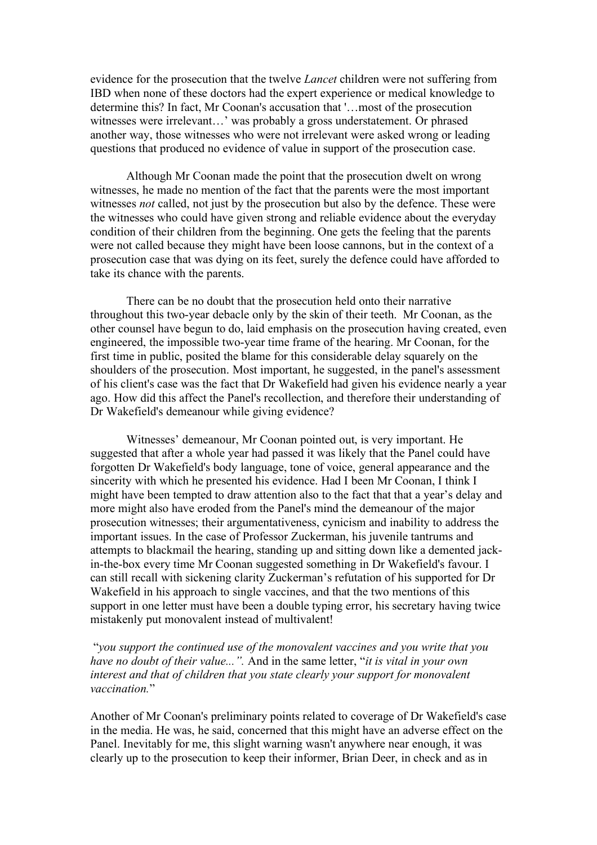evidence for the prosecution that the twelve *Lancet* children were not suffering from IBD when none of these doctors had the expert experience or medical knowledge to determine this? In fact, Mr Coonan's accusation that '…most of the prosecution witnesses were irrelevant…' was probably a gross understatement. Or phrased another way, those witnesses who were not irrelevant were asked wrong or leading questions that produced no evidence of value in support of the prosecution case.

Although Mr Coonan made the point that the prosecution dwelt on wrong witnesses, he made no mention of the fact that the parents were the most important witnesses *not* called, not just by the prosecution but also by the defence. These were the witnesses who could have given strong and reliable evidence about the everyday condition of their children from the beginning. One gets the feeling that the parents were not called because they might have been loose cannons, but in the context of a prosecution case that was dying on its feet, surely the defence could have afforded to take its chance with the parents.

There can be no doubt that the prosecution held onto their narrative throughout this two-year debacle only by the skin of their teeth. Mr Coonan, as the other counsel have begun to do, laid emphasis on the prosecution having created, even engineered, the impossible two-year time frame of the hearing. Mr Coonan, for the first time in public, posited the blame for this considerable delay squarely on the shoulders of the prosecution. Most important, he suggested, in the panel's assessment of his client's case was the fact that Dr Wakefield had given his evidence nearly a year ago. How did this affect the Panel's recollection, and therefore their understanding of Dr Wakefield's demeanour while giving evidence?

Witnesses' demeanour, Mr Coonan pointed out, is very important. He suggested that after a whole year had passed it was likely that the Panel could have forgotten Dr Wakefield's body language, tone of voice, general appearance and the sincerity with which he presented his evidence. Had I been Mr Coonan, I think I might have been tempted to draw attention also to the fact that that a year's delay and more might also have eroded from the Panel's mind the demeanour of the major prosecution witnesses; their argumentativeness, cynicism and inability to address the important issues. In the case of Professor Zuckerman, his juvenile tantrums and attempts to blackmail the hearing, standing up and sitting down like a demented jackin-the-box every time Mr Coonan suggested something in Dr Wakefield's favour. I can still recall with sickening clarity Zuckerman's refutation of his supported for Dr Wakefield in his approach to single vaccines, and that the two mentions of this support in one letter must have been a double typing error, his secretary having twice mistakenly put monovalent instead of multivalent!

"*you support the continued use of the monovalent vaccines and you write that you have no doubt of their value...".* And in the same letter, "*it is vital in your own interest and that of children that you state clearly your support for monovalent vaccination.*"

Another of Mr Coonan's preliminary points related to coverage of Dr Wakefield's case in the media. He was, he said, concerned that this might have an adverse effect on the Panel. Inevitably for me, this slight warning wasn't anywhere near enough, it was clearly up to the prosecution to keep their informer, Brian Deer, in check and as in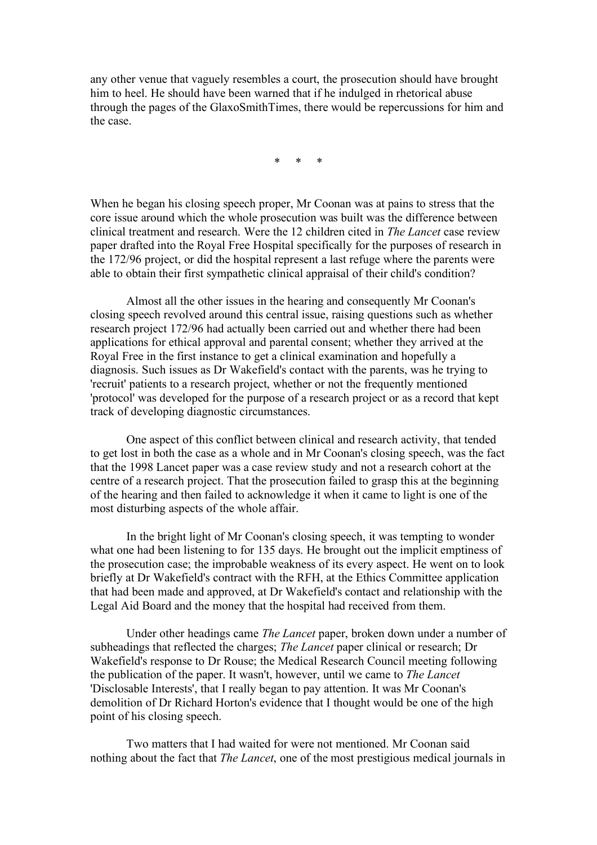any other venue that vaguely resembles a court, the prosecution should have brought him to heel. He should have been warned that if he indulged in rhetorical abuse through the pages of the GlaxoSmithTimes, there would be repercussions for him and the case.

\* \* \*

When he began his closing speech proper, Mr Coonan was at pains to stress that the core issue around which the whole prosecution was built was the difference between clinical treatment and research. Were the 12 children cited in *The Lancet* case review paper drafted into the Royal Free Hospital specifically for the purposes of research in the 172/96 project, or did the hospital represent a last refuge where the parents were able to obtain their first sympathetic clinical appraisal of their child's condition?

Almost all the other issues in the hearing and consequently Mr Coonan's closing speech revolved around this central issue, raising questions such as whether research project 172/96 had actually been carried out and whether there had been applications for ethical approval and parental consent; whether they arrived at the Royal Free in the first instance to get a clinical examination and hopefully a diagnosis. Such issues as Dr Wakefield's contact with the parents, was he trying to 'recruit' patients to a research project, whether or not the frequently mentioned 'protocol' was developed for the purpose of a research project or as a record that kept track of developing diagnostic circumstances.

One aspect of this conflict between clinical and research activity, that tended to get lost in both the case as a whole and in Mr Coonan's closing speech, was the fact that the 1998 Lancet paper was a case review study and not a research cohort at the centre of a research project. That the prosecution failed to grasp this at the beginning of the hearing and then failed to acknowledge it when it came to light is one of the most disturbing aspects of the whole affair.

In the bright light of Mr Coonan's closing speech, it was tempting to wonder what one had been listening to for 135 days. He brought out the implicit emptiness of the prosecution case; the improbable weakness of its every aspect. He went on to look briefly at Dr Wakefield's contract with the RFH, at the Ethics Committee application that had been made and approved, at Dr Wakefield's contact and relationship with the Legal Aid Board and the money that the hospital had received from them.

Under other headings came *The Lancet* paper, broken down under a number of subheadings that reflected the charges; *The Lancet* paper clinical or research; Dr Wakefield's response to Dr Rouse; the Medical Research Council meeting following the publication of the paper. It wasn't, however, until we came to *The Lancet* 'Disclosable Interests', that I really began to pay attention. It was Mr Coonan's demolition of Dr Richard Horton's evidence that I thought would be one of the high point of his closing speech.

Two matters that I had waited for were not mentioned. Mr Coonan said nothing about the fact that *The Lancet*, one of the most prestigious medical journals in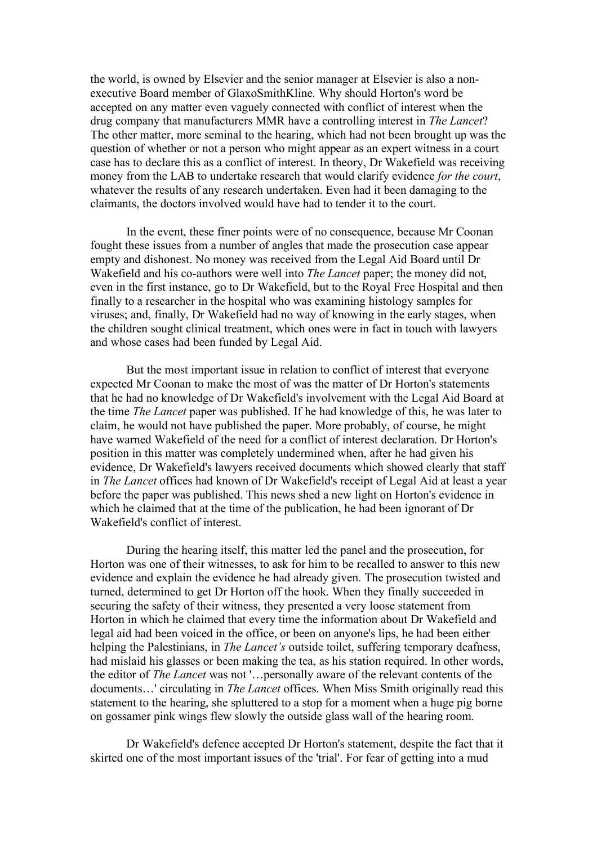the world, is owned by Elsevier and the senior manager at Elsevier is also a nonexecutive Board member of GlaxoSmithKline. Why should Horton's word be accepted on any matter even vaguely connected with conflict of interest when the drug company that manufacturers MMR have a controlling interest in *The Lancet*? The other matter, more seminal to the hearing, which had not been brought up was the question of whether or not a person who might appear as an expert witness in a court case has to declare this as a conflict of interest. In theory, Dr Wakefield was receiving money from the LAB to undertake research that would clarify evidence *for the court*, whatever the results of any research undertaken. Even had it been damaging to the claimants, the doctors involved would have had to tender it to the court.

In the event, these finer points were of no consequence, because Mr Coonan fought these issues from a number of angles that made the prosecution case appear empty and dishonest. No money was received from the Legal Aid Board until Dr Wakefield and his co-authors were well into *The Lancet* paper; the money did not, even in the first instance, go to Dr Wakefield, but to the Royal Free Hospital and then finally to a researcher in the hospital who was examining histology samples for viruses; and, finally, Dr Wakefield had no way of knowing in the early stages, when the children sought clinical treatment, which ones were in fact in touch with lawyers and whose cases had been funded by Legal Aid.

But the most important issue in relation to conflict of interest that everyone expected Mr Coonan to make the most of was the matter of Dr Horton's statements that he had no knowledge of Dr Wakefield's involvement with the Legal Aid Board at the time *The Lancet* paper was published. If he had knowledge of this, he was later to claim, he would not have published the paper. More probably, of course, he might have warned Wakefield of the need for a conflict of interest declaration. Dr Horton's position in this matter was completely undermined when, after he had given his evidence, Dr Wakefield's lawyers received documents which showed clearly that staff in *The Lancet* offices had known of Dr Wakefield's receipt of Legal Aid at least a year before the paper was published. This news shed a new light on Horton's evidence in which he claimed that at the time of the publication, he had been ignorant of Dr Wakefield's conflict of interest.

During the hearing itself, this matter led the panel and the prosecution, for Horton was one of their witnesses, to ask for him to be recalled to answer to this new evidence and explain the evidence he had already given. The prosecution twisted and turned, determined to get Dr Horton off the hook. When they finally succeeded in securing the safety of their witness, they presented a very loose statement from Horton in which he claimed that every time the information about Dr Wakefield and legal aid had been voiced in the office, or been on anyone's lips, he had been either helping the Palestinians, in *The Lancet's* outside toilet, suffering temporary deafness, had mislaid his glasses or been making the tea, as his station required. In other words, the editor of *The Lancet* was not '…personally aware of the relevant contents of the documents…' circulating in *The Lancet* offices. When Miss Smith originally read this statement to the hearing, she spluttered to a stop for a moment when a huge pig borne on gossamer pink wings flew slowly the outside glass wall of the hearing room.

Dr Wakefield's defence accepted Dr Horton's statement, despite the fact that it skirted one of the most important issues of the 'trial'. For fear of getting into a mud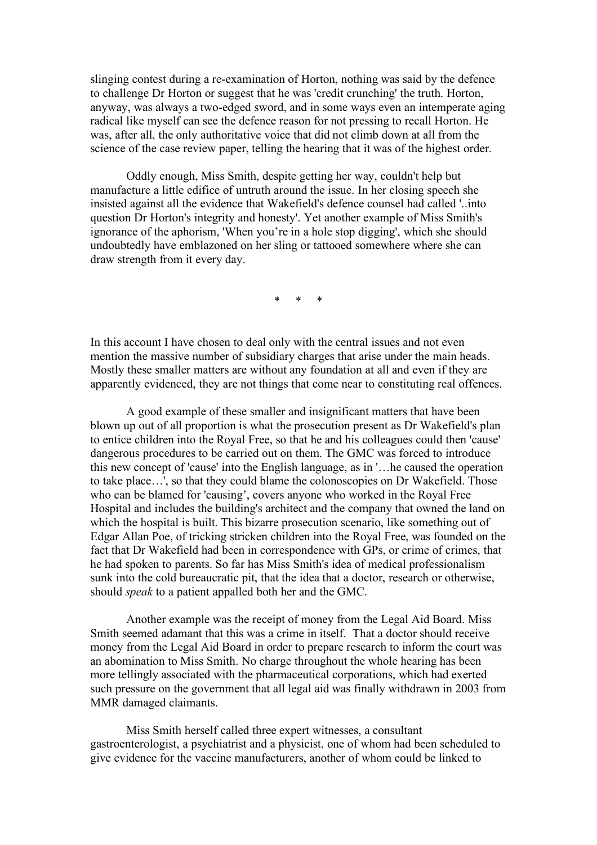slinging contest during a re-examination of Horton, nothing was said by the defence to challenge Dr Horton or suggest that he was 'credit crunching' the truth. Horton, anyway, was always a two-edged sword, and in some ways even an intemperate aging radical like myself can see the defence reason for not pressing to recall Horton. He was, after all, the only authoritative voice that did not climb down at all from the science of the case review paper, telling the hearing that it was of the highest order.

Oddly enough, Miss Smith, despite getting her way, couldn't help but manufacture a little edifice of untruth around the issue. In her closing speech she insisted against all the evidence that Wakefield's defence counsel had called '..into question Dr Horton's integrity and honesty'. Yet another example of Miss Smith's ignorance of the aphorism, 'When you're in a hole stop digging', which she should undoubtedly have emblazoned on her sling or tattooed somewhere where she can draw strength from it every day.

\* \* \*

In this account I have chosen to deal only with the central issues and not even mention the massive number of subsidiary charges that arise under the main heads. Mostly these smaller matters are without any foundation at all and even if they are apparently evidenced, they are not things that come near to constituting real offences.

A good example of these smaller and insignificant matters that have been blown up out of all proportion is what the prosecution present as Dr Wakefield's plan to entice children into the Royal Free, so that he and his colleagues could then 'cause' dangerous procedures to be carried out on them. The GMC was forced to introduce this new concept of 'cause' into the English language, as in '…he caused the operation to take place…', so that they could blame the colonoscopies on Dr Wakefield. Those who can be blamed for 'causing', covers anyone who worked in the Royal Free Hospital and includes the building's architect and the company that owned the land on which the hospital is built. This bizarre prosecution scenario, like something out of Edgar Allan Poe, of tricking stricken children into the Royal Free, was founded on the fact that Dr Wakefield had been in correspondence with GPs, or crime of crimes, that he had spoken to parents. So far has Miss Smith's idea of medical professionalism sunk into the cold bureaucratic pit, that the idea that a doctor, research or otherwise, should *speak* to a patient appalled both her and the GMC.

Another example was the receipt of money from the Legal Aid Board. Miss Smith seemed adamant that this was a crime in itself. That a doctor should receive money from the Legal Aid Board in order to prepare research to inform the court was an abomination to Miss Smith. No charge throughout the whole hearing has been more tellingly associated with the pharmaceutical corporations, which had exerted such pressure on the government that all legal aid was finally withdrawn in 2003 from MMR damaged claimants.

Miss Smith herself called three expert witnesses, a consultant gastroenterologist, a psychiatrist and a physicist, one of whom had been scheduled to give evidence for the vaccine manufacturers, another of whom could be linked to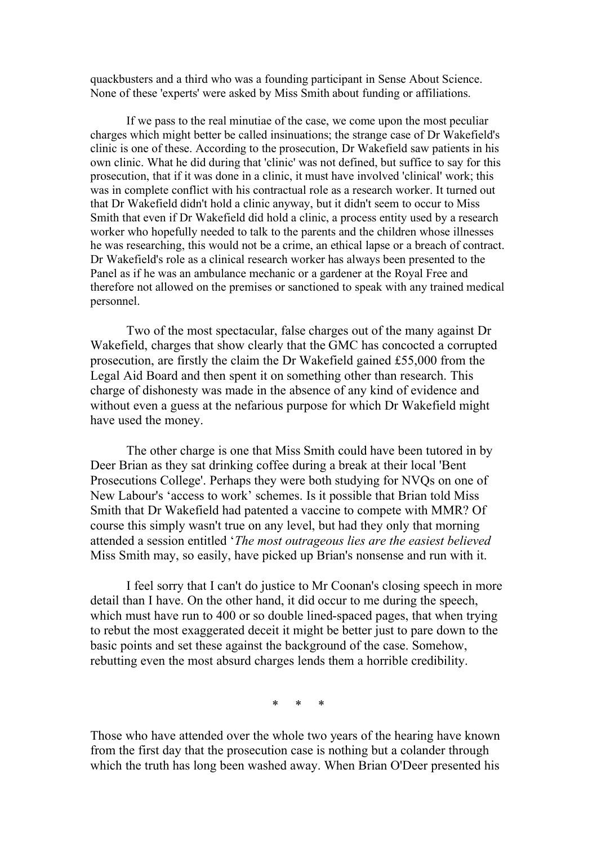quackbusters and a third who was a founding participant in Sense About Science. None of these 'experts' were asked by Miss Smith about funding or affiliations.

If we pass to the real minutiae of the case, we come upon the most peculiar charges which might better be called insinuations; the strange case of Dr Wakefield's clinic is one of these. According to the prosecution, Dr Wakefield saw patients in his own clinic. What he did during that 'clinic' was not defined, but suffice to say for this prosecution, that if it was done in a clinic, it must have involved 'clinical' work; this was in complete conflict with his contractual role as a research worker. It turned out that Dr Wakefield didn't hold a clinic anyway, but it didn't seem to occur to Miss Smith that even if Dr Wakefield did hold a clinic, a process entity used by a research worker who hopefully needed to talk to the parents and the children whose illnesses he was researching, this would not be a crime, an ethical lapse or a breach of contract. Dr Wakefield's role as a clinical research worker has always been presented to the Panel as if he was an ambulance mechanic or a gardener at the Royal Free and therefore not allowed on the premises or sanctioned to speak with any trained medical personnel.

Two of the most spectacular, false charges out of the many against Dr Wakefield, charges that show clearly that the GMC has concocted a corrupted prosecution, are firstly the claim the Dr Wakefield gained £55,000 from the Legal Aid Board and then spent it on something other than research. This charge of dishonesty was made in the absence of any kind of evidence and without even a guess at the nefarious purpose for which Dr Wakefield might have used the money.

The other charge is one that Miss Smith could have been tutored in by Deer Brian as they sat drinking coffee during a break at their local 'Bent Prosecutions College'. Perhaps they were both studying for NVQs on one of New Labour's 'access to work' schemes. Is it possible that Brian told Miss Smith that Dr Wakefield had patented a vaccine to compete with MMR? Of course this simply wasn't true on any level, but had they only that morning attended a session entitled '*The most outrageous lies are the easiest believed* Miss Smith may, so easily, have picked up Brian's nonsense and run with it.

I feel sorry that I can't do justice to Mr Coonan's closing speech in more detail than I have. On the other hand, it did occur to me during the speech, which must have run to 400 or so double lined-spaced pages, that when trying to rebut the most exaggerated deceit it might be better just to pare down to the basic points and set these against the background of the case. Somehow, rebutting even the most absurd charges lends them a horrible credibility.

\* \* \*

Those who have attended over the whole two years of the hearing have known from the first day that the prosecution case is nothing but a colander through which the truth has long been washed away. When Brian O'Deer presented his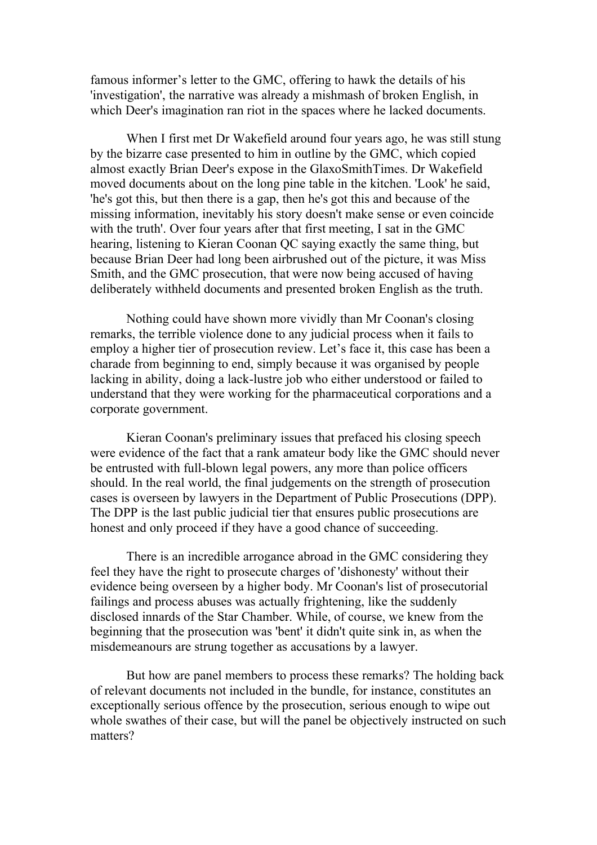famous informer's letter to the GMC, offering to hawk the details of his 'investigation', the narrative was already a mishmash of broken English, in which Deer's imagination ran riot in the spaces where he lacked documents.

When I first met Dr Wakefield around four years ago, he was still stung by the bizarre case presented to him in outline by the GMC, which copied almost exactly Brian Deer's expose in the GlaxoSmithTimes. Dr Wakefield moved documents about on the long pine table in the kitchen. 'Look' he said, 'he's got this, but then there is a gap, then he's got this and because of the missing information, inevitably his story doesn't make sense or even coincide with the truth'. Over four years after that first meeting, I sat in the GMC hearing, listening to Kieran Coonan QC saying exactly the same thing, but because Brian Deer had long been airbrushed out of the picture, it was Miss Smith, and the GMC prosecution, that were now being accused of having deliberately withheld documents and presented broken English as the truth.

Nothing could have shown more vividly than Mr Coonan's closing remarks, the terrible violence done to any judicial process when it fails to employ a higher tier of prosecution review. Let's face it, this case has been a charade from beginning to end, simply because it was organised by people lacking in ability, doing a lack-lustre job who either understood or failed to understand that they were working for the pharmaceutical corporations and a corporate government.

Kieran Coonan's preliminary issues that prefaced his closing speech were evidence of the fact that a rank amateur body like the GMC should never be entrusted with full-blown legal powers, any more than police officers should. In the real world, the final judgements on the strength of prosecution cases is overseen by lawyers in the Department of Public Prosecutions (DPP). The DPP is the last public judicial tier that ensures public prosecutions are honest and only proceed if they have a good chance of succeeding.

There is an incredible arrogance abroad in the GMC considering they feel they have the right to prosecute charges of 'dishonesty' without their evidence being overseen by a higher body. Mr Coonan's list of prosecutorial failings and process abuses was actually frightening, like the suddenly disclosed innards of the Star Chamber. While, of course, we knew from the beginning that the prosecution was 'bent' it didn't quite sink in, as when the misdemeanours are strung together as accusations by a lawyer.

But how are panel members to process these remarks? The holding back of relevant documents not included in the bundle, for instance, constitutes an exceptionally serious offence by the prosecution, serious enough to wipe out whole swathes of their case, but will the panel be objectively instructed on such matters?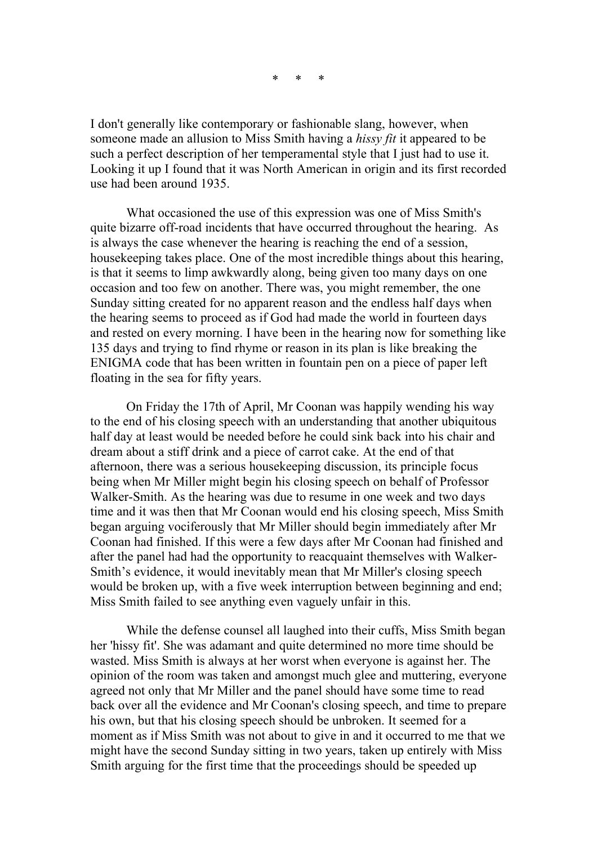\* \* \*

I don't generally like contemporary or fashionable slang, however, when someone made an allusion to Miss Smith having a *hissy fit* it appeared to be such a perfect description of her temperamental style that I just had to use it. Looking it up I found that it was North American in origin and its first recorded use had been around 1935.

What occasioned the use of this expression was one of Miss Smith's quite bizarre off-road incidents that have occurred throughout the hearing. As is always the case whenever the hearing is reaching the end of a session, housekeeping takes place. One of the most incredible things about this hearing, is that it seems to limp awkwardly along, being given too many days on one occasion and too few on another. There was, you might remember, the one Sunday sitting created for no apparent reason and the endless half days when the hearing seems to proceed as if God had made the world in fourteen days and rested on every morning. I have been in the hearing now for something like 135 days and trying to find rhyme or reason in its plan is like breaking the ENIGMA code that has been written in fountain pen on a piece of paper left floating in the sea for fifty years.

On Friday the 17th of April, Mr Coonan was happily wending his way to the end of his closing speech with an understanding that another ubiquitous half day at least would be needed before he could sink back into his chair and dream about a stiff drink and a piece of carrot cake. At the end of that afternoon, there was a serious housekeeping discussion, its principle focus being when Mr Miller might begin his closing speech on behalf of Professor Walker-Smith. As the hearing was due to resume in one week and two days time and it was then that Mr Coonan would end his closing speech, Miss Smith began arguing vociferously that Mr Miller should begin immediately after Mr Coonan had finished. If this were a few days after Mr Coonan had finished and after the panel had had the opportunity to reacquaint themselves with Walker-Smith's evidence, it would inevitably mean that Mr Miller's closing speech would be broken up, with a five week interruption between beginning and end; Miss Smith failed to see anything even vaguely unfair in this.

While the defense counsel all laughed into their cuffs, Miss Smith began her 'hissy fit'. She was adamant and quite determined no more time should be wasted. Miss Smith is always at her worst when everyone is against her. The opinion of the room was taken and amongst much glee and muttering, everyone agreed not only that Mr Miller and the panel should have some time to read back over all the evidence and Mr Coonan's closing speech, and time to prepare his own, but that his closing speech should be unbroken. It seemed for a moment as if Miss Smith was not about to give in and it occurred to me that we might have the second Sunday sitting in two years, taken up entirely with Miss Smith arguing for the first time that the proceedings should be speeded up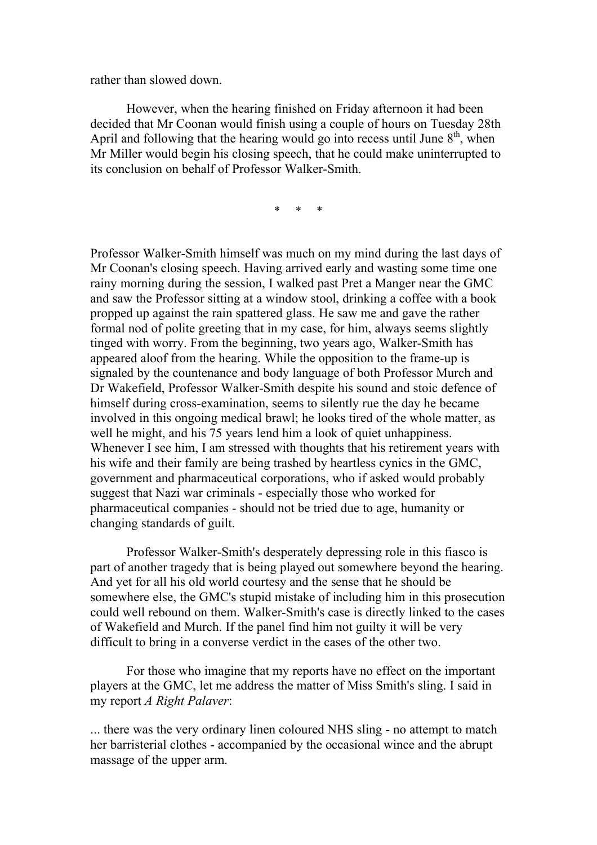rather than slowed down.

However, when the hearing finished on Friday afternoon it had been decided that Mr Coonan would finish using a couple of hours on Tuesday 28th April and following that the hearing would go into recess until June  $8<sup>th</sup>$ , when Mr Miller would begin his closing speech, that he could make uninterrupted to its conclusion on behalf of Professor Walker-Smith.

\* \* \*

Professor Walker-Smith himself was much on my mind during the last days of Mr Coonan's closing speech. Having arrived early and wasting some time one rainy morning during the session, I walked past Pret a Manger near the GMC and saw the Professor sitting at a window stool, drinking a coffee with a book propped up against the rain spattered glass. He saw me and gave the rather formal nod of polite greeting that in my case, for him, always seems slightly tinged with worry. From the beginning, two years ago, Walker-Smith has appeared aloof from the hearing. While the opposition to the frame-up is signaled by the countenance and body language of both Professor Murch and Dr Wakefield, Professor Walker-Smith despite his sound and stoic defence of himself during cross-examination, seems to silently rue the day he became involved in this ongoing medical brawl; he looks tired of the whole matter, as well he might, and his 75 years lend him a look of quiet unhappiness. Whenever I see him, I am stressed with thoughts that his retirement years with his wife and their family are being trashed by heartless cynics in the GMC, government and pharmaceutical corporations, who if asked would probably suggest that Nazi war criminals - especially those who worked for pharmaceutical companies - should not be tried due to age, humanity or changing standards of guilt.

Professor Walker-Smith's desperately depressing role in this fiasco is part of another tragedy that is being played out somewhere beyond the hearing. And yet for all his old world courtesy and the sense that he should be somewhere else, the GMC's stupid mistake of including him in this prosecution could well rebound on them. Walker-Smith's case is directly linked to the cases of Wakefield and Murch. If the panel find him not guilty it will be very difficult to bring in a converse verdict in the cases of the other two.

For those who imagine that my reports have no effect on the important players at the GMC, let me address the matter of Miss Smith's sling. I said in my report *A Right Palaver*:

... there was the very ordinary linen coloured NHS sling - no attempt to match her barristerial clothes - accompanied by the occasional wince and the abrupt massage of the upper arm.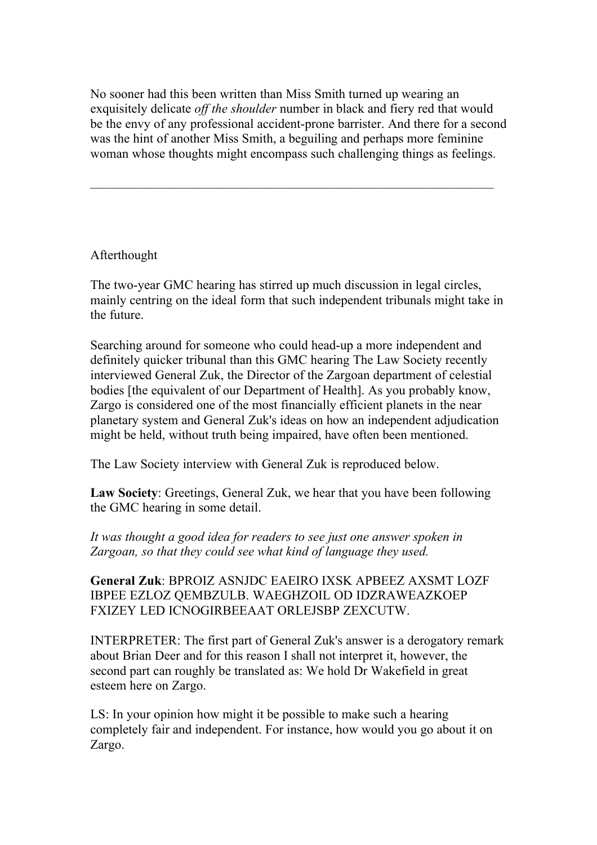No sooner had this been written than Miss Smith turned up wearing an exquisitely delicate *off the shoulder* number in black and fiery red that would be the envy of any professional accident-prone barrister. And there for a second was the hint of another Miss Smith, a beguiling and perhaps more feminine woman whose thoughts might encompass such challenging things as feelings.

 $\mathcal{L}_\mathcal{L} = \{ \mathcal{L}_\mathcal{L} = \{ \mathcal{L}_\mathcal{L} = \{ \mathcal{L}_\mathcal{L} = \{ \mathcal{L}_\mathcal{L} = \{ \mathcal{L}_\mathcal{L} = \{ \mathcal{L}_\mathcal{L} = \{ \mathcal{L}_\mathcal{L} = \{ \mathcal{L}_\mathcal{L} = \{ \mathcal{L}_\mathcal{L} = \{ \mathcal{L}_\mathcal{L} = \{ \mathcal{L}_\mathcal{L} = \{ \mathcal{L}_\mathcal{L} = \{ \mathcal{L}_\mathcal{L} = \{ \mathcal{L}_\mathcal{$ 

Afterthought

The two-year GMC hearing has stirred up much discussion in legal circles, mainly centring on the ideal form that such independent tribunals might take in the future.

Searching around for someone who could head-up a more independent and definitely quicker tribunal than this GMC hearing The Law Society recently interviewed General Zuk, the Director of the Zargoan department of celestial bodies [the equivalent of our Department of Health]. As you probably know, Zargo is considered one of the most financially efficient planets in the near planetary system and General Zuk's ideas on how an independent adjudication might be held, without truth being impaired, have often been mentioned.

The Law Society interview with General Zuk is reproduced below.

**Law Society**: Greetings, General Zuk, we hear that you have been following the GMC hearing in some detail.

*It was thought a good idea for readers to see just one answer spoken in Zargoan, so that they could see what kind of language they used.*

**General Zuk**: BPROIZ ASNJDC EAEIRO IXSK APBEEZ AXSMT LOZF IBPEE EZLOZ QEMBZULB. WAEGHZOIL OD IDZRAWEAZKOEP FXIZEY LED ICNOGIRBEEAAT ORLEJSBP ZEXCUTW.

INTERPRETER: The first part of General Zuk's answer is a derogatory remark about Brian Deer and for this reason I shall not interpret it, however, the second part can roughly be translated as: We hold Dr Wakefield in great esteem here on Zargo.

LS: In your opinion how might it be possible to make such a hearing completely fair and independent. For instance, how would you go about it on Zargo.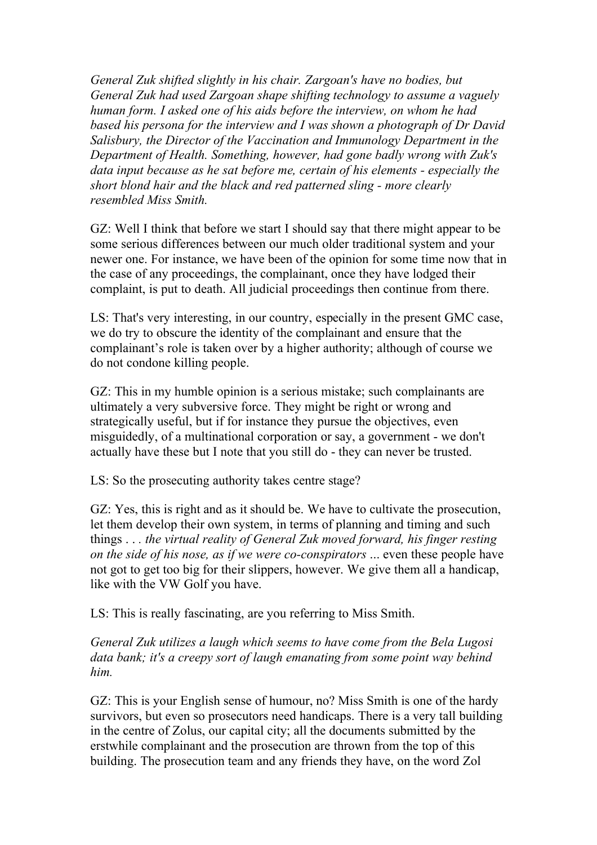*General Zuk shifted slightly in his chair. Zargoan's have no bodies, but General Zuk had used Zargoan shape shifting technology to assume a vaguely human form. I asked one of his aids before the interview, on whom he had based his persona for the interview and I was shown a photograph of Dr David Salisbury, the Director of the Vaccination and Immunology Department in the Department of Health. Something, however, had gone badly wrong with Zuk's data input because as he sat before me, certain of his elements - especially the short blond hair and the black and red patterned sling - more clearly resembled Miss Smith.*

GZ: Well I think that before we start I should say that there might appear to be some serious differences between our much older traditional system and your newer one. For instance, we have been of the opinion for some time now that in the case of any proceedings, the complainant, once they have lodged their complaint, is put to death. All judicial proceedings then continue from there.

LS: That's very interesting, in our country, especially in the present GMC case, we do try to obscure the identity of the complainant and ensure that the complainant's role is taken over by a higher authority; although of course we do not condone killing people.

GZ: This in my humble opinion is a serious mistake; such complainants are ultimately a very subversive force. They might be right or wrong and strategically useful, but if for instance they pursue the objectives, even misguidedly, of a multinational corporation or say, a government - we don't actually have these but I note that you still do - they can never be trusted.

LS: So the prosecuting authority takes centre stage?

GZ: Yes, this is right and as it should be. We have to cultivate the prosecution, let them develop their own system, in terms of planning and timing and such things . . *. the virtual reality of General Zuk moved forward, his finger resting on the side of his nose, as if we were co-conspirators* ... even these people have not got to get too big for their slippers, however. We give them all a handicap, like with the VW Golf you have.

LS: This is really fascinating, are you referring to Miss Smith.

*General Zuk utilizes a laugh which seems to have come from the Bela Lugosi data bank; it's a creepy sort of laugh emanating from some point way behind him.*

GZ: This is your English sense of humour, no? Miss Smith is one of the hardy survivors, but even so prosecutors need handicaps. There is a very tall building in the centre of Zolus, our capital city; all the documents submitted by the erstwhile complainant and the prosecution are thrown from the top of this building. The prosecution team and any friends they have, on the word Zol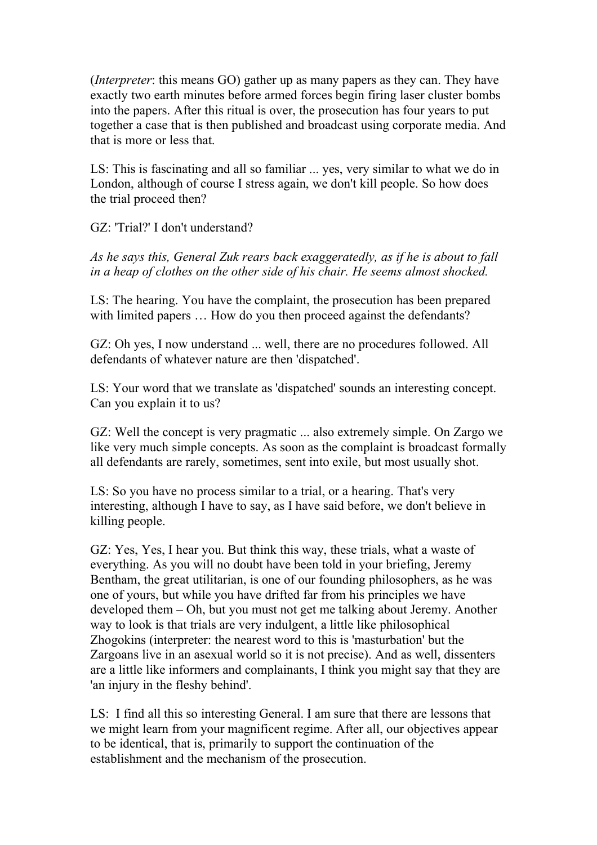(*Interpreter*: this means GO) gather up as many papers as they can. They have exactly two earth minutes before armed forces begin firing laser cluster bombs into the papers. After this ritual is over, the prosecution has four years to put together a case that is then published and broadcast using corporate media. And that is more or less that.

LS: This is fascinating and all so familiar ... yes, very similar to what we do in London, although of course I stress again, we don't kill people. So how does the trial proceed then?

GZ: 'Trial?' I don't understand?

*As he says this, General Zuk rears back exaggeratedly, as if he is about to fall in a heap of clothes on the other side of his chair. He seems almost shocked.*

LS: The hearing. You have the complaint, the prosecution has been prepared with limited papers ... How do you then proceed against the defendants?

GZ: Oh yes, I now understand ... well, there are no procedures followed. All defendants of whatever nature are then 'dispatched'.

LS: Your word that we translate as 'dispatched' sounds an interesting concept. Can you explain it to us?

GZ: Well the concept is very pragmatic ... also extremely simple. On Zargo we like very much simple concepts. As soon as the complaint is broadcast formally all defendants are rarely, sometimes, sent into exile, but most usually shot.

LS: So you have no process similar to a trial, or a hearing. That's very interesting, although I have to say, as I have said before, we don't believe in killing people.

GZ: Yes, Yes, I hear you. But think this way, these trials, what a waste of everything. As you will no doubt have been told in your briefing, Jeremy Bentham, the great utilitarian, is one of our founding philosophers, as he was one of yours, but while you have drifted far from his principles we have developed them – Oh, but you must not get me talking about Jeremy. Another way to look is that trials are very indulgent, a little like philosophical Zhogokins (interpreter: the nearest word to this is 'masturbation' but the Zargoans live in an asexual world so it is not precise). And as well, dissenters are a little like informers and complainants, I think you might say that they are 'an injury in the fleshy behind'.

LS: I find all this so interesting General. I am sure that there are lessons that we might learn from your magnificent regime. After all, our objectives appear to be identical, that is, primarily to support the continuation of the establishment and the mechanism of the prosecution.